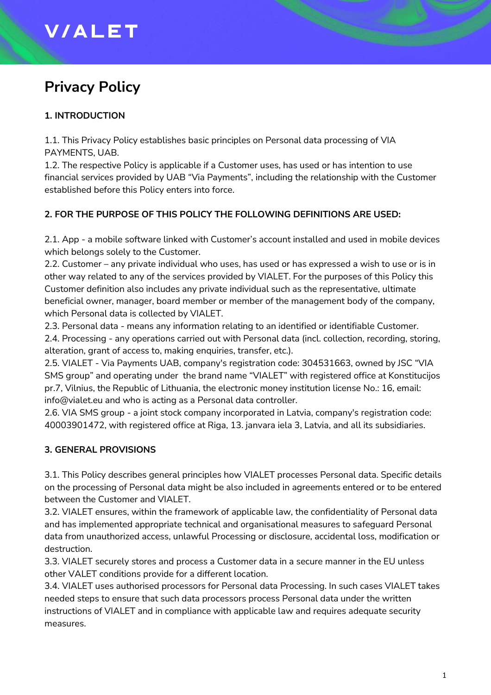# **V/ALET**

# **Privacy Policy**

# **1. INTRODUCTION**

1.1. This Privacy Policy establishes basic principles on Personal data processing of VIA PAYMENTS, UAB.

1.2. The respective Policy is applicable if a Customer uses, has used or has intention to use financial services provided by UAB "Via Payments", including the relationship with the Customer established before this Policy enters into force.

# **2. FOR THE PURPOSE OF THIS POLICY THE FOLLOWING DEFINITIONS ARE USED:**

2.1. App - a mobile software linked with Customer's account installed and used in mobile devices which belongs solely to the Customer.

2.2. Customer – any private individual who uses, has used or has expressed a wish to use or is in other way related to any of the services provided by VIALET. For the purposes of this Policy this Customer definition also includes any private individual such as the representative, ultimate beneficial owner, manager, board member or member of the management body of the company, which Personal data is collected by VIALET.

2.3. Personal data - means any information relating to an identified or identifiable Customer.

2.4. Processing - any operations carried out with Personal data (incl. collection, recording, storing, alteration, grant of access to, making enquiries, transfer, etc.).

2.5. VIALET - Via Payments UAB, company's registration code: 304531663, owned by JSC "VIA SMS group" and operating under the brand name "VIALET" with registered office at Konstitucijos pr.7, Vilnius, the Republic of Lithuania, the electronic money institution license No.: 16, email: info@vialet.eu and who is acting as a Personal data controller.

2.6. VIA SMS group - a joint stock company incorporated in Latvia, company's registration code: 40003901472, with registered office at Riga, 13. janvara iela 3, Latvia, and all its subsidiaries.

# **3. GENERAL PROVISIONS**

3.1. This Policy describes general principles how VIALET processes Personal data. Specific details on the processing of Personal data might be also included in agreements entered or to be entered between the Customer and VIALET.

3.2. VIALET ensures, within the framework of applicable law, the confidentiality of Personal data and has implemented appropriate technical and organisational measures to safeguard Personal data from unauthorized access, unlawful Processing or disclosure, accidental loss, modification or destruction.

3.3. VIALET securely stores and process a Customer data in a secure manner in the EU unless other VALET conditions provide for a different location.

3.4. VIALET uses authorised processors for Personal data Processing. In such cases VIALET takes needed steps to ensure that such data processors process Personal data under the written instructions of VIALET and in compliance with applicable law and requires adequate security measures.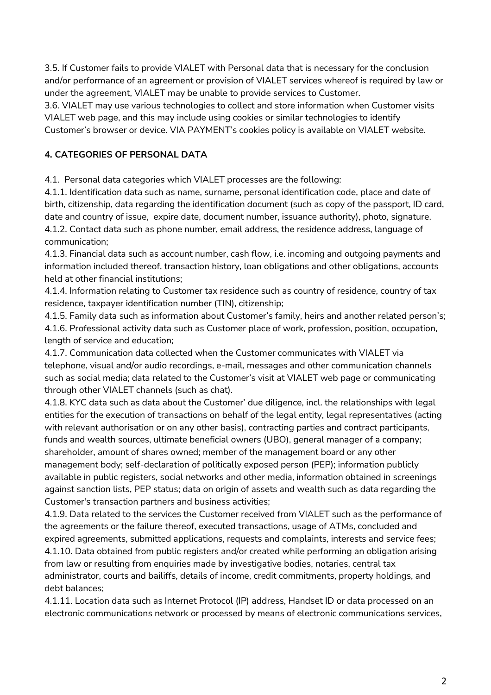3.5. If Customer fails to provide VIALET with Personal data that is necessary for the conclusion and/or performance of an agreement or provision of VIALET services whereof is required by law or under the agreement, VIALET may be unable to provide services to Customer.

3.6. VIALET may use various technologies to collect and store information when Customer visits VIALET web page, and this may include using cookies or similar technologies to identify Customer's browser or device. VIA PAYMENT's cookies policy is available on VIALET website.

# **4. CATEGORIES OF PERSONAL DATA**

4.1. Personal data categories which VIALET processes are the following:

4.1.1. Identification data such as name, surname, personal identification code, place and date of birth, citizenship, data regarding the identification document (such as copy of the passport, ID card, date and country of issue, expire date, document number, issuance authority), photo, signature. 4.1.2. Contact data such as phone number, email address, the residence address, language of communication;

4.1.3. Financial data such as account number, cash flow, i.e. incoming and outgoing payments and information included thereof, transaction history, loan obligations and other obligations, accounts held at other financial institutions;

4.1.4. Information relating to Customer tax residence such as country of residence, country of tax residence, taxpayer identification number (TIN), citizenship;

4.1.5. Family data such as information about Customer's family, heirs and another related person's; 4.1.6. Professional activity data such as Customer place of work, profession, position, occupation,

length of service and education;

4.1.7. Communication data collected when the Customer communicates with VIALET via telephone, visual and/or audio recordings, e-mail, messages and other communication channels such as social media; data related to the Customer's visit at VIALET web page or communicating through other VIALET channels (such as chat).

4.1.8. KYC data such as data about the Customer' due diligence, incl. the relationships with legal entities for the execution of transactions on behalf of the legal entity, legal representatives (acting with relevant authorisation or on any other basis), contracting parties and contract participants, funds and wealth sources, ultimate beneficial owners (UBO), general manager of a company; shareholder, amount of shares owned; member of the management board or any other management body; self-declaration of politically exposed person (PEP); information publicly available in public registers, social networks and other media, information obtained in screenings against sanction lists, PEP status; data on origin of assets and wealth such as data regarding the Customer's transaction partners and business activities;

4.1.9. Data related to the services the Customer received from VIALET such as the performance of the agreements or the failure thereof, executed transactions, usage of ATMs, concluded and expired agreements, submitted applications, requests and complaints, interests and service fees; 4.1.10. Data obtained from public registers and/or created while performing an obligation arising from law or resulting from enquiries made by investigative bodies, notaries, central tax administrator, courts and bailiffs, details of income, credit commitments, property holdings, and debt balances;

4.1.11. Location data such as Internet Protocol (IP) address, Handset ID or data processed on an electronic communications network or processed by means of electronic communications services,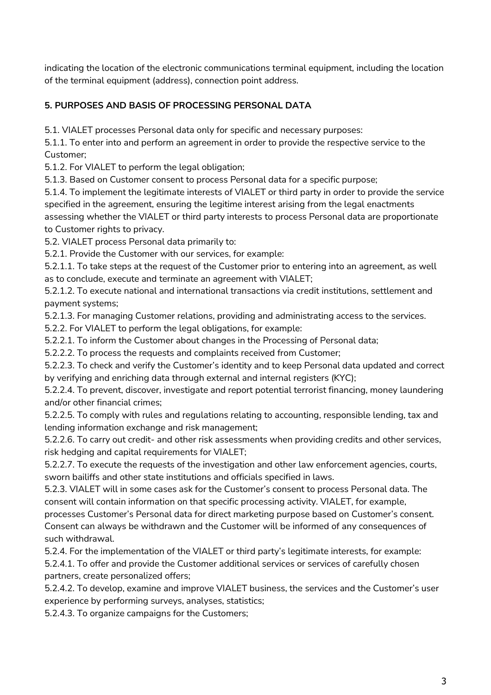indicating the location of the electronic communications terminal equipment, including the location of the terminal equipment (address), connection point address.

#### **5. PURPOSES AND BASIS OF PROCESSING PERSONAL DATA**

5.1. VIALET processes Personal data only for specific and necessary purposes:

5.1.1. To enter into and perform an agreement in order to provide the respective service to the Customer;

5.1.2. For VIALET to perform the legal obligation;

5.1.3. Based on Customer consent to process Personal data for a specific purpose;

5.1.4. To implement the legitimate interests of VIALET or third party in order to provide the service specified in the agreement, ensuring the legitime interest arising from the legal enactments assessing whether the VIALET or third party interests to process Personal data are proportionate to Customer rights to privacy.

5.2. VIALET process Personal data primarily to:

5.2.1. Provide the Customer with our services, for example:

5.2.1.1. To take steps at the request of the Customer prior to entering into an agreement, as well as to conclude, execute and terminate an agreement with VIALET;

5.2.1.2. To execute national and international transactions via credit institutions, settlement and payment systems;

5.2.1.3. For managing Customer relations, providing and administrating access to the services.

5.2.2. For VIALET to perform the legal obligations, for example:

5.2.2.1. To inform the Customer about changes in the Processing of Personal data;

5.2.2.2. To process the requests and complaints received from Customer;

5.2.2.3. To check and verify the Customer's identity and to keep Personal data updated and correct by verifying and enriching data through external and internal registers (KYC);

5.2.2.4. To prevent, discover, investigate and report potential terrorist financing, money laundering and/or other financial crimes;

5.2.2.5. To comply with rules and regulations relating to accounting, responsible lending, tax and lending information exchange and risk management;

5.2.2.6. To carry out credit- and other risk assessments when providing credits and other services, risk hedging and capital requirements for VIALET;

5.2.2.7. To execute the requests of the investigation and other law enforcement agencies, courts, sworn bailiffs and other state institutions and officials specified in laws.

5.2.3. VIALET will in some cases ask for the Customer's consent to process Personal data. The consent will contain information on that specific processing activity. VIALET, for example,

processes Customer's Personal data for direct marketing purpose based on Customer's consent. Consent can always be withdrawn and the Customer will be informed of any consequences of such withdrawal.

5.2.4. For the implementation of the VIALET or third party's legitimate interests, for example: 5.2.4.1. To offer and provide the Customer additional services or services of carefully chosen partners, create personalized offers;

5.2.4.2. To develop, examine and improve VIALET business, the services and the Customer's user experience by performing surveys, analyses, statistics;

5.2.4.3. To organize campaigns for the Customers;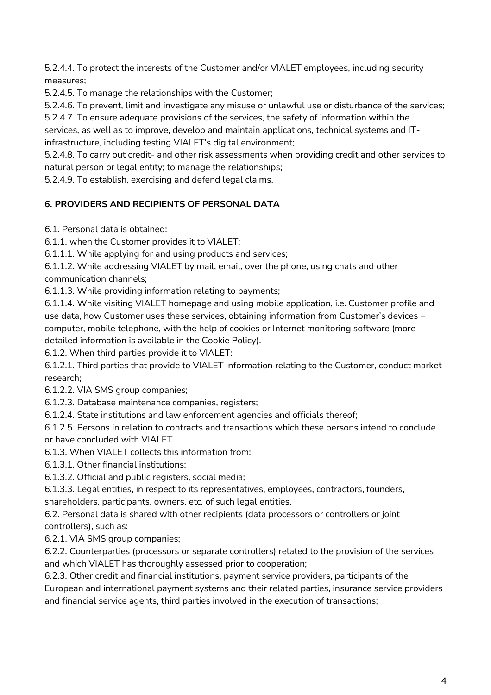5.2.4.4. To protect the interests of the Customer and/or VIALET employees, including security measures;

5.2.4.5. To manage the relationships with the Customer;

5.2.4.6. To prevent, limit and investigate any misuse or unlawful use or disturbance of the services;

5.2.4.7. To ensure adequate provisions of the services, the safety of information within the

services, as well as to improve, develop and maintain applications, technical systems and ITinfrastructure, including testing VIALET's digital environment;

5.2.4.8. To carry out credit- and other risk assessments when providing credit and other services to natural person or legal entity; to manage the relationships;

5.2.4.9. To establish, exercising and defend legal claims.

#### **6. PROVIDERS AND RECIPIENTS OF PERSONAL DATA**

6.1. Personal data is obtained:

6.1.1. when the Customer provides it to VIALET:

6.1.1.1. While applying for and using products and services;

6.1.1.2. While addressing VIALET by mail, email, over the phone, using chats and other communication channels;

6.1.1.3. While providing information relating to payments;

6.1.1.4. While visiting VIALET homepage and using mobile application, i.e. Customer profile and use data, how Customer uses these services, obtaining information from Customer's devices – computer, mobile telephone, with the help of cookies or Internet monitoring software (more detailed information is available in the Cookie Policy).

6.1.2. When third parties provide it to VIALET:

6.1.2.1. Third parties that provide to VIALET information relating to the Customer, conduct market research;

6.1.2.2. VIA SMS group companies;

6.1.2.3. Database maintenance companies, registers;

6.1.2.4. State institutions and law enforcement agencies and officials thereof;

6.1.2.5. Persons in relation to contracts and transactions which these persons intend to conclude or have concluded with VIALET.

6.1.3. When VIALET collects this information from:

6.1.3.1. Other financial institutions;

6.1.3.2. Official and public registers, social media;

6.1.3.3. Legal entities, in respect to its representatives, employees, contractors, founders,

shareholders, participants, owners, etc. of such legal entities.

6.2. Personal data is shared with other recipients (data processors or controllers or joint controllers), such as:

6.2.1. VIA SMS group companies;

6.2.2. Counterparties (processors or separate controllers) related to the provision of the services and which VIALET has thoroughly assessed prior to cooperation;

6.2.3. Other credit and financial institutions, payment service providers, participants of the European and international payment systems and their related parties, insurance service providers and financial service agents, third parties involved in the execution of transactions;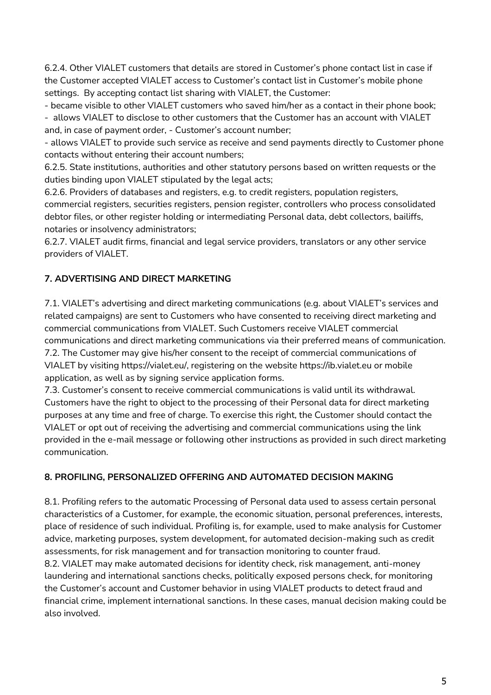6.2.4. Other VIALET customers that details are stored in Customer's phone contact list in case if the Customer accepted VIALET access to Customer's contact list in Customer's mobile phone settings. By accepting contact list sharing with VIALET, the Customer:

- became visible to other VIALET customers who saved him/her as a contact in their phone book;

- allows VIALET to disclose to other customers that the Customer has an account with VIALET and, in case of payment order, - Customer's account number;

- allows VIALET to provide such service as receive and send payments directly to Customer phone contacts without entering their account numbers;

6.2.5. State institutions, authorities and other statutory persons based on written requests or the duties binding upon VIALET stipulated by the legal acts;

6.2.6. Providers of databases and registers, e.g. to credit registers, population registers, commercial registers, securities registers, pension register, controllers who process consolidated debtor files, or other register holding or intermediating Personal data, debt collectors, bailiffs, notaries or insolvency administrators;

6.2.7. VIALET audit firms, financial and legal service providers, translators or any other service providers of VIALET.

# **7. ADVERTISING AND DIRECT MARKETING**

7.1. VIALET's advertising and direct marketing communications (e.g. about VIALET's services and related campaigns) are sent to Customers who have consented to receiving direct marketing and commercial communications from VIALET. Such Customers receive VIALET commercial communications and direct marketing communications via their preferred means of communication. 7.2. The Customer may give his/her consent to the receipt of commercial communications of VIALET by visiting https://vialet.eu/, registering on the website https://ib.vialet.eu or mobile application, as well as by signing service application forms.

7.3. Customer's consent to receive commercial communications is valid until its withdrawal. Customers have the right to object to the processing of their Personal data for direct marketing purposes at any time and free of charge. To exercise this right, the Customer should contact the VIALET or opt out of receiving the advertising and commercial communications using the link provided in the e-mail message or following other instructions as provided in such direct marketing communication.

# **8. PROFILING, PERSONALIZED OFFERING AND AUTOMATED DECISION MAKING**

8.1. Profiling refers to the automatic Processing of Personal data used to assess certain personal characteristics of a Customer, for example, the economic situation, personal preferences, interests, place of residence of such individual. Profiling is, for example, used to make analysis for Customer advice, marketing purposes, system development, for automated decision-making such as credit assessments, for risk management and for transaction monitoring to counter fraud. 8.2. VIALET may make automated decisions for identity check, risk management, anti-money laundering and international sanctions checks, politically exposed persons check, for monitoring the Customer's account and Customer behavior in using VIALET products to detect fraud and financial crime, implement international sanctions. In these cases, manual decision making could be also involved.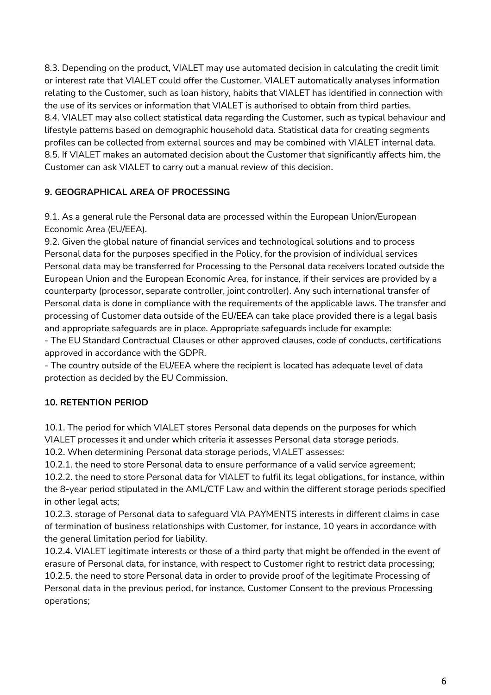8.3. Depending on the product, VIALET may use automated decision in calculating the credit limit or interest rate that VIALET could offer the Customer. VIALET automatically analyses information relating to the Customer, such as loan history, habits that VIALET has identified in connection with the use of its services or information that VIALET is authorised to obtain from third parties. 8.4. VIALET may also collect statistical data regarding the Customer, such as typical behaviour and lifestyle patterns based on demographic household data. Statistical data for creating segments profiles can be collected from external sources and may be combined with VIALET internal data. 8.5. If VIALET makes an automated decision about the Customer that significantly affects him, the Customer can ask VIALET to carry out a manual review of this decision.

#### **9. GEOGRAPHICAL AREA OF PROCESSING**

9.1. As a general rule the Personal data are processed within the European Union/European Economic Area (EU/EEA).

9.2. Given the global nature of financial services and technological solutions and to process Personal data for the purposes specified in the Policy, for the provision of individual services Personal data may be transferred for Processing to the Personal data receivers located outside the European Union and the European Economic Area, for instance, if their services are provided by a counterparty (processor, separate controller, joint controller). Any such international transfer of Personal data is done in compliance with the requirements of the applicable laws. The transfer and processing of Customer data outside of the EU/EEA can take place provided there is a legal basis and appropriate safeguards are in place. Appropriate safeguards include for example:

- The EU Standard Contractual Clauses or other approved clauses, code of conducts, certifications approved in accordance with the GDPR.

- The country outside of the EU/EEA where the recipient is located has adequate level of data protection as decided by the EU Commission.

#### **10. RETENTION PERIOD**

10.1. The period for which VIALET stores Personal data depends on the purposes for which VIALET processes it and under which criteria it assesses Personal data storage periods.

10.2. When determining Personal data storage periods, VIALET assesses:

10.2.1. the need to store Personal data to ensure performance of a valid service agreement; 10.2.2. the need to store Personal data for VIALET to fulfil its legal obligations, for instance, within the 8-year period stipulated in the AML/CTF Law and within the different storage periods specified in other legal acts;

10.2.3. storage of Personal data to safeguard VIA PAYMENTS interests in different claims in case of termination of business relationships with Customer, for instance, 10 years in accordance with the general limitation period for liability.

10.2.4. VIALET legitimate interests or those of a third party that might be offended in the event of erasure of Personal data, for instance, with respect to Customer right to restrict data processing; 10.2.5. the need to store Personal data in order to provide proof of the legitimate Processing of Personal data in the previous period, for instance, Customer Consent to the previous Processing operations;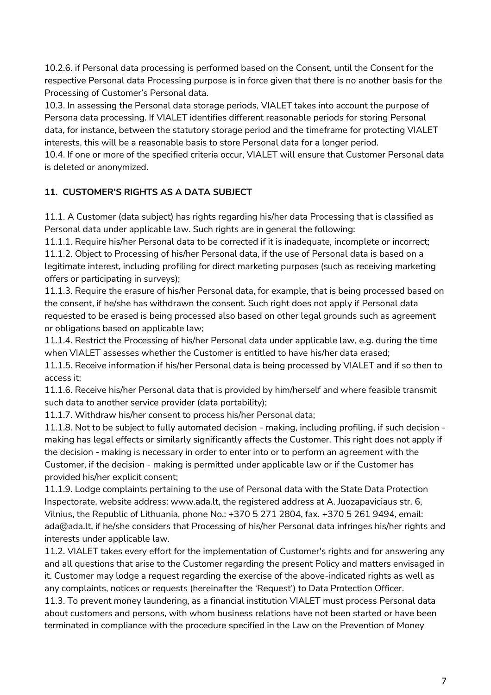10.2.6. if Personal data processing is performed based on the Consent, until the Consent for the respective Personal data Processing purpose is in force given that there is no another basis for the Processing of Customer's Personal data.

10.3. In assessing the Personal data storage periods, VIALET takes into account the purpose of Persona data processing. If VIALET identifies different reasonable periods for storing Personal data, for instance, between the statutory storage period and the timeframe for protecting VIALET interests, this will be a reasonable basis to store Personal data for a longer period.

10.4. If one or more of the specified criteria occur, VIALET will ensure that Customer Personal data is deleted or anonymized.

# **11. CUSTOMER'S RIGHTS AS A DATA SUBJECT**

11.1. A Customer (data subject) has rights regarding his/her data Processing that is classified as Personal data under applicable law. Such rights are in general the following:

11.1.1. Require his/her Personal data to be corrected if it is inadequate, incomplete or incorrect;

11.1.2. Object to Processing of his/her Personal data, if the use of Personal data is based on a legitimate interest, including profiling for direct marketing purposes (such as receiving marketing offers or participating in surveys);

11.1.3. Require the erasure of his/her Personal data, for example, that is being processed based on the consent, if he/she has withdrawn the consent. Such right does not apply if Personal data requested to be erased is being processed also based on other legal grounds such as agreement or obligations based on applicable law;

11.1.4. Restrict the Processing of his/her Personal data under applicable law, e.g. during the time when VIALET assesses whether the Customer is entitled to have his/her data erased;

11.1.5. Receive information if his/her Personal data is being processed by VIALET and if so then to access it;

11.1.6. Receive his/her Personal data that is provided by him/herself and where feasible transmit such data to another service provider (data portability);

11.1.7. Withdraw his/her consent to process his/her Personal data;

11.1.8. Not to be subject to fully automated decision - making, including profiling, if such decision making has legal effects or similarly significantly affects the Customer. This right does not apply if the decision - making is necessary in order to enter into or to perform an agreement with the Customer, if the decision - making is permitted under applicable law or if the Customer has provided his/her explicit consent;

11.1.9. Lodge complaints pertaining to the use of Personal data with the State Data Protection Inspectorate, website address: www.ada.lt, the registered address at A. Juozapaviciaus str. 6, Vilnius, the Republic of Lithuania, phone No.: +370 5 271 2804, fax. +370 5 261 9494, email: ada@ada.lt, if he/she considers that Processing of his/her Personal data infringes his/her rights and interests under applicable law.

11.2. VIALET takes every effort for the implementation of Customer's rights and for answering any and all questions that arise to the Customer regarding the present Policy and matters envisaged in it. Customer may lodge a request regarding the exercise of the above-indicated rights as well as any complaints, notices or requests (hereinafter the 'Request') to Data Protection Officer.

11.3. To prevent money laundering, as a financial institution VIALET must process Personal data about customers and persons, with whom business relations have not been started or have been terminated in compliance with the procedure specified in the Law on the Prevention of Money